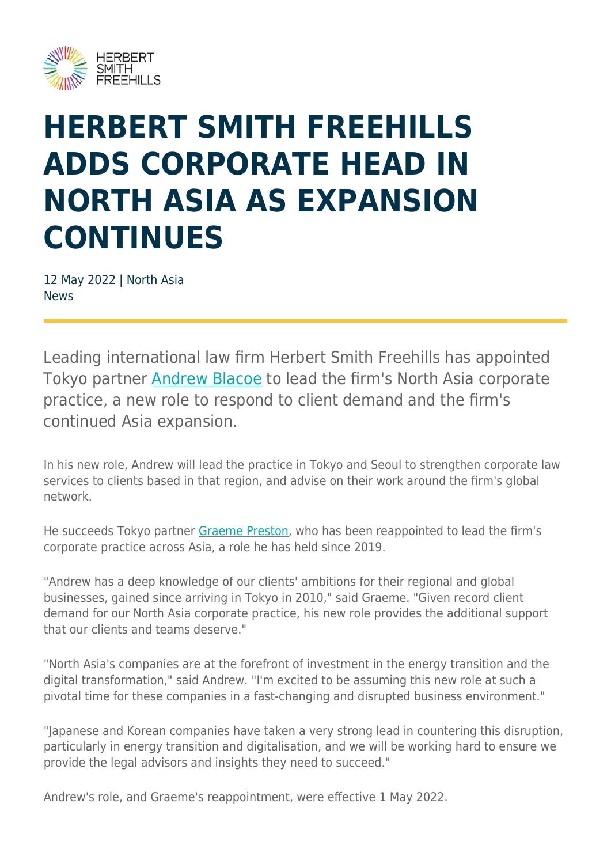

## **HERBERT SMITH FREEHILLS ADDS CORPORATE HEAD IN NORTH ASIA AS EXPANSION CONTINUES**

12 May 2022 | North Asia **News** 

Leading international law firm Herbert Smith Freehills has appointed Tokyo partner **Andrew Blacoe** to lead the firm's North Asia corporate practice, a new role to respond to client demand and the firm's continued Asia expansion.

In his new role, Andrew will lead the practice in Tokyo and Seoul to strengthen corporate law services to clients based in that region, and advise on their work around the firm's global network.

He succeeds Tokyo partner [Graeme Preston](https://www.herbertsmithfreehills.com/our-people/graeme-preston), who has been reappointed to lead the firm's corporate practice across Asia, a role he has held since 2019.

"Andrew has a deep knowledge of our clients' ambitions for their regional and global businesses, gained since arriving in Tokyo in 2010," said Graeme. "Given record client demand for our North Asia corporate practice, his new role provides the additional support that our clients and teams deserve."

"North Asia's companies are at the forefront of investment in the energy transition and the digital transformation," said Andrew. "I'm excited to be assuming this new role at such a pivotal time for these companies in a fast-changing and disrupted business environment."

"Japanese and Korean companies have taken a very strong lead in countering this disruption, particularly in energy transition and digitalisation, and we will be working hard to ensure we provide the legal advisors and insights they need to succeed."

Andrew's role, and Graeme's reappointment, were effective 1 May 2022.